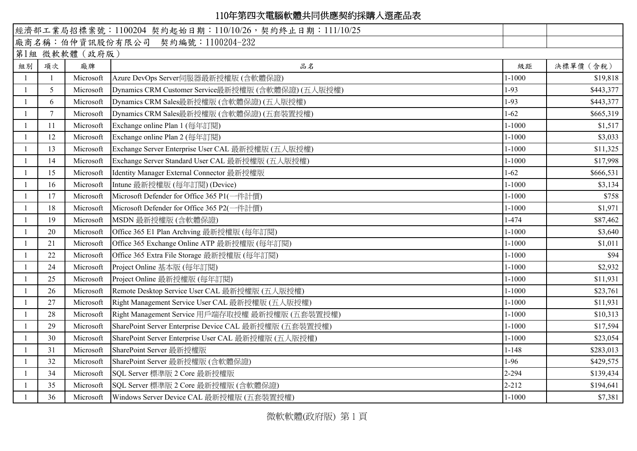## 110年第四次電腦軟體共同供應契約採購入選產品表

|                |              |           | 經濟部工業局招標案號: 1100204 契約起始日期: 110/10/26, 契約終止日期: 111/10/25 |            |           |  |  |  |  |  |
|----------------|--------------|-----------|----------------------------------------------------------|------------|-----------|--|--|--|--|--|
|                |              |           | 廠商名稱:伯仲資訊股份有限公司 契約編號:1100204-232                         |            |           |  |  |  |  |  |
| 第1組 微軟軟體 (政府版) |              |           |                                                          |            |           |  |  |  |  |  |
| 組別             | 項次           | 廠牌        | 品名                                                       | 級距         | 決標單價 (含稅) |  |  |  |  |  |
|                | $\mathbf{1}$ | Microsoft | Azure DevOps Server伺服器最新授權版(含軟體保證)                       | $1 - 1000$ | \$19,818  |  |  |  |  |  |
|                | 5            | Microsoft | Dynamics CRM Customer Service最新授權版 (含軟體保證) (五人版授權)       | $1-93$     | \$443,377 |  |  |  |  |  |
|                | 6            | Microsoft | Dynamics CRM Sales最新授權版 (含軟體保證) (五人版授權)                  | 1-93       | \$443,377 |  |  |  |  |  |
|                | $\tau$       | Microsoft | Dynamics CRM Sales最新授權版 (含軟體保證) (五套裝置授權)                 | $1-62$     | \$665,319 |  |  |  |  |  |
|                | 11           | Microsoft | Exchange online Plan 1 (每年訂閱)                            | $1 - 1000$ | \$1,517   |  |  |  |  |  |
|                | 12           | Microsoft | Exchange online Plan 2 (每年訂閱)                            | $1 - 1000$ | \$3,033   |  |  |  |  |  |
|                | 13           | Microsoft | Exchange Server Enterprise User CAL 最新授權版 (五人版授權)        | $1 - 1000$ | \$11,325  |  |  |  |  |  |
|                | 14           | Microsoft | Exchange Server Standard User CAL 最新授權版 (五人版授權)          | $1 - 1000$ | \$17,998  |  |  |  |  |  |
|                | 15           | Microsoft | Identity Manager External Connector 最新授權版                | $1-62$     | \$666,531 |  |  |  |  |  |
|                | 16           | Microsoft | Intune 最新授權版 (每年訂閱) (Device)                             | $1 - 1000$ | \$3,134   |  |  |  |  |  |
|                | 17           | Microsoft | Microsoft Defender for Office 365 P1(一件計價)               | $1 - 1000$ | \$758     |  |  |  |  |  |
|                | 18           | Microsoft | Microsoft Defender for Office 365 P2(一件計價)               | $1 - 1000$ | \$1,971   |  |  |  |  |  |
|                | 19           | Microsoft | MSDN 最新授權版 (含軟體保證)                                       | 1-474      | \$87,462  |  |  |  |  |  |
|                | 20           | Microsoft | Office 365 E1 Plan Archving 最新授權版 (每年訂閱)                 | $1 - 1000$ | \$3,640   |  |  |  |  |  |
|                | 21           | Microsoft | Office 365 Exchange Online ATP 最新授權版 (每年訂閱)              | $1 - 1000$ | \$1,011   |  |  |  |  |  |
|                | 22           | Microsoft | Office 365 Extra File Storage 最新授權版 (每年訂閱)               | $1 - 1000$ | \$94      |  |  |  |  |  |
|                | 24           | Microsoft | Project Online 基本版 (每年訂閱)                                | $1 - 1000$ | \$2,932   |  |  |  |  |  |
|                | 25           | Microsoft | Project Online 最新授權版 (每年訂閱)                              | $1 - 1000$ | \$11,931  |  |  |  |  |  |
|                | 26           | Microsoft | Remote Desktop Service User CAL 最新授權版 (五人版授權)            | $1 - 1000$ | \$23,761  |  |  |  |  |  |
|                | 27           | Microsoft | Right Management Service User CAL 最新授權版 (五人版授權)          | $1 - 1000$ | \$11,931  |  |  |  |  |  |
|                | 28           | Microsoft | Right Management Service 用戶端存取授權 最新授權版 (五套裝置授權)          | $1 - 1000$ | \$10,313  |  |  |  |  |  |
|                | 29           | Microsoft | SharePoint Server Enterprise Device CAL 最新授權版 (五套裝置授權)   | $1 - 1000$ | \$17,594  |  |  |  |  |  |
|                | 30           | Microsoft | SharePoint Server Enterprise User CAL 最新授權版 (五人版授權)      | $1 - 1000$ | \$23,054  |  |  |  |  |  |
|                | 31           | Microsoft | SharePoint Server 最新授權版                                  | $1 - 148$  | \$283,013 |  |  |  |  |  |
|                | 32           | Microsoft | SharePoint Server 最新授權版 (含軟體保證)                          | 1-96       | \$429,575 |  |  |  |  |  |
|                | 34           | Microsoft | SQL Server 標準版 2 Core 最新授權版                              | 2-294      | \$139,434 |  |  |  |  |  |
|                | 35           | Microsoft | SQL Server 標準版 2 Core 最新授權版 (含軟體保證)                      | $2 - 212$  | \$194,641 |  |  |  |  |  |
|                | 36           | Microsoft | Windows Server Device CAL 最新授權版 (五套裝置授權)                 | $1 - 1000$ | \$7,381   |  |  |  |  |  |

微軟軟體(政府版) 第 1 頁